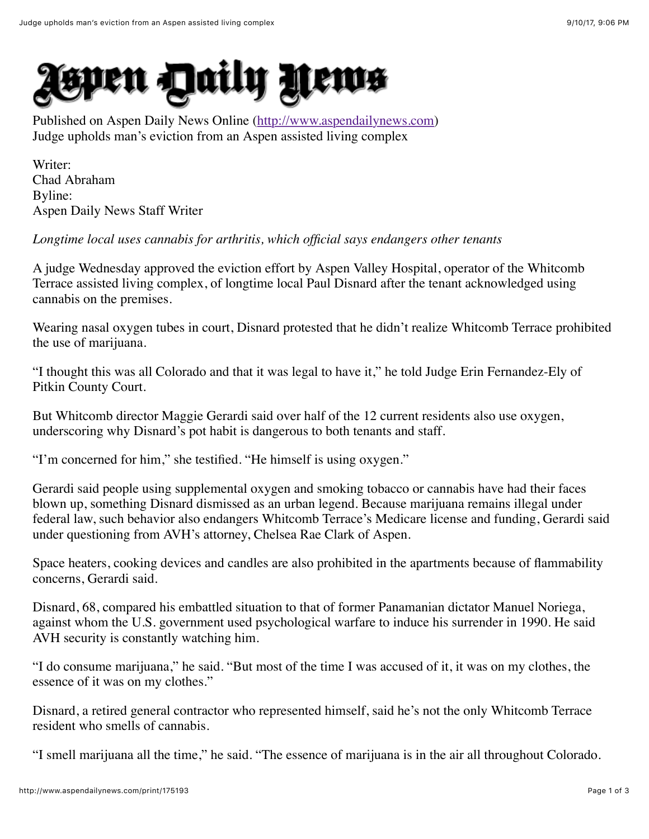

Published on Aspen Daily News Online ([http://www.aspendailynews.com\)](http://www.aspendailynews.com/) Judge upholds man's eviction from an Aspen assisted living complex

Writer: Chad Abraham Byline: Aspen Daily News Staff Writer

*Longtime local uses cannabis for arthritis, which official says endangers other tenants*

A judge Wednesday approved the eviction effort by Aspen Valley Hospital, operator of the Whitcomb Terrace assisted living complex, of longtime local Paul Disnard after the tenant acknowledged using cannabis on the premises.

Wearing nasal oxygen tubes in court, Disnard protested that he didn't realize Whitcomb Terrace prohibited the use of marijuana.

"I thought this was all Colorado and that it was legal to have it," he told Judge Erin Fernandez-Ely of Pitkin County Court.

But Whitcomb director Maggie Gerardi said over half of the 12 current residents also use oxygen, underscoring why Disnard's pot habit is dangerous to both tenants and staff.

"I'm concerned for him," she testified. "He himself is using oxygen."

Gerardi said people using supplemental oxygen and smoking tobacco or cannabis have had their faces blown up, something Disnard dismissed as an urban legend. Because marijuana remains illegal under federal law, such behavior also endangers Whitcomb Terrace's Medicare license and funding, Gerardi said under questioning from AVH's attorney, Chelsea Rae Clark of Aspen.

Space heaters, cooking devices and candles are also prohibited in the apartments because of flammability concerns, Gerardi said.

Disnard, 68, compared his embattled situation to that of former Panamanian dictator Manuel Noriega, against whom the U.S. government used psychological warfare to induce his surrender in 1990. He said AVH security is constantly watching him.

"I do consume marijuana," he said. "But most of the time I was accused of it, it was on my clothes, the essence of it was on my clothes."

Disnard, a retired general contractor who represented himself, said he's not the only Whitcomb Terrace resident who smells of cannabis.

"I smell marijuana all the time," he said. "The essence of marijuana is in the air all throughout Colorado.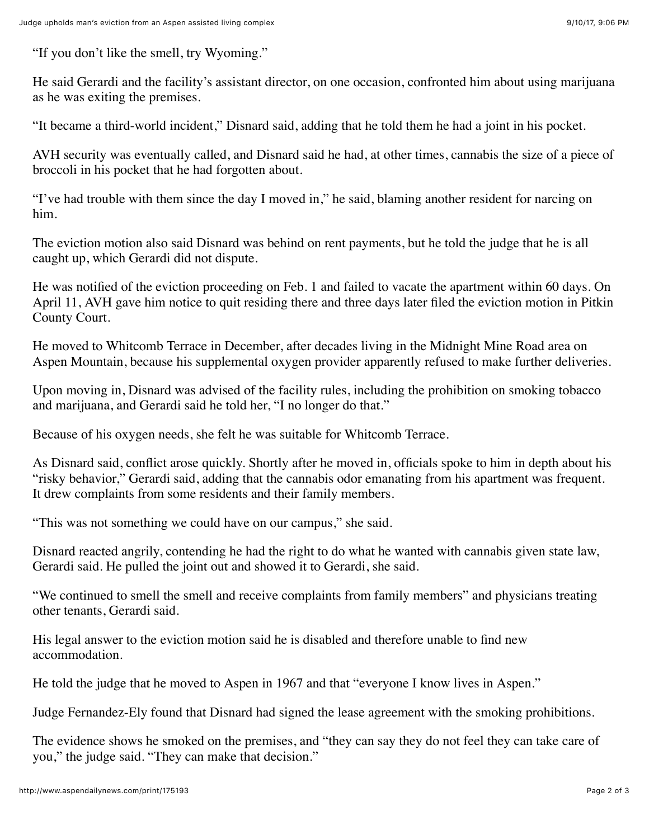"If you don't like the smell, try Wyoming."

He said Gerardi and the facility's assistant director, on one occasion, confronted him about using marijuana as he was exiting the premises.

"It became a third-world incident," Disnard said, adding that he told them he had a joint in his pocket.

AVH security was eventually called, and Disnard said he had, at other times, cannabis the size of a piece of broccoli in his pocket that he had forgotten about.

"I've had trouble with them since the day I moved in," he said, blaming another resident for narcing on him.

The eviction motion also said Disnard was behind on rent payments, but he told the judge that he is all caught up, which Gerardi did not dispute.

He was notified of the eviction proceeding on Feb. 1 and failed to vacate the apartment within 60 days. On April 11, AVH gave him notice to quit residing there and three days later filed the eviction motion in Pitkin County Court.

He moved to Whitcomb Terrace in December, after decades living in the Midnight Mine Road area on Aspen Mountain, because his supplemental oxygen provider apparently refused to make further deliveries.

Upon moving in, Disnard was advised of the facility rules, including the prohibition on smoking tobacco and marijuana, and Gerardi said he told her, "I no longer do that."

Because of his oxygen needs, she felt he was suitable for Whitcomb Terrace.

As Disnard said, conflict arose quickly. Shortly after he moved in, officials spoke to him in depth about his "risky behavior," Gerardi said, adding that the cannabis odor emanating from his apartment was frequent. It drew complaints from some residents and their family members.

"This was not something we could have on our campus," she said.

Disnard reacted angrily, contending he had the right to do what he wanted with cannabis given state law, Gerardi said. He pulled the joint out and showed it to Gerardi, she said.

"We continued to smell the smell and receive complaints from family members" and physicians treating other tenants, Gerardi said.

His legal answer to the eviction motion said he is disabled and therefore unable to find new accommodation.

He told the judge that he moved to Aspen in 1967 and that "everyone I know lives in Aspen."

Judge Fernandez-Ely found that Disnard had signed the lease agreement with the smoking prohibitions.

The evidence shows he smoked on the premises, and "they can say they do not feel they can take care of you," the judge said. "They can make that decision."